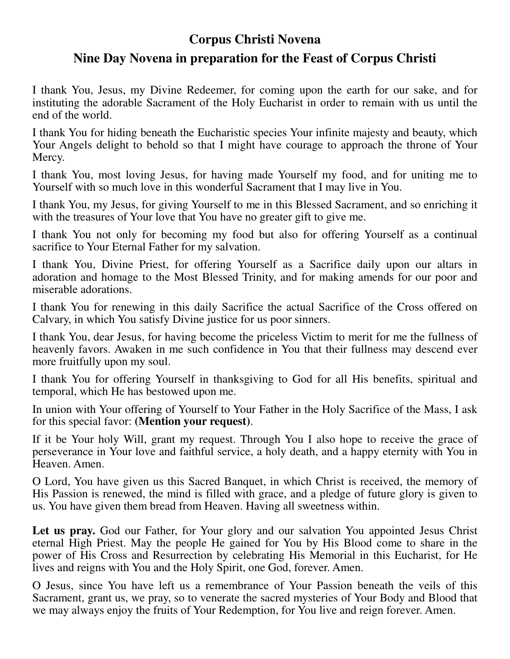## **Corpus Christi Novena**

## **Nine Day Novena in preparation for the Feast of Corpus Christi**

I thank You, Jesus, my Divine Redeemer, for coming upon the earth for our sake, and for instituting the adorable Sacrament of the Holy Eucharist in order to remain with us until the end of the world.

I thank You for hiding beneath the Eucharistic species Your infinite majesty and beauty, which Your Angels delight to behold so that I might have courage to approach the throne of Your Mercy.

I thank You, most loving Jesus, for having made Yourself my food, and for uniting me to Yourself with so much love in this wonderful Sacrament that I may live in You.

I thank You, my Jesus, for giving Yourself to me in this Blessed Sacrament, and so enriching it with the treasures of Your love that You have no greater gift to give me.

I thank You not only for becoming my food but also for offering Yourself as a continual sacrifice to Your Eternal Father for my salvation.

I thank You, Divine Priest, for offering Yourself as a Sacrifice daily upon our altars in adoration and homage to the Most Blessed Trinity, and for making amends for our poor and miserable adorations.

I thank You for renewing in this daily Sacrifice the actual Sacrifice of the Cross offered on Calvary, in which You satisfy Divine justice for us poor sinners.

I thank You, dear Jesus, for having become the priceless Victim to merit for me the fullness of heavenly favors. Awaken in me such confidence in You that their fullness may descend ever more fruitfully upon my soul.

I thank You for offering Yourself in thanksgiving to God for all His benefits, spiritual and temporal, which He has bestowed upon me.

In union with Your offering of Yourself to Your Father in the Holy Sacrifice of the Mass, I ask for this special favor: **(Mention your request)**.

If it be Your holy Will, grant my request. Through You I also hope to receive the grace of perseverance in Your love and faithful service, a holy death, and a happy eternity with You in Heaven. Amen.

O Lord, You have given us this Sacred Banquet, in which Christ is received, the memory of His Passion is renewed, the mind is filled with grace, and a pledge of future glory is given to us. You have given them bread from Heaven. Having all sweetness within.

Let us pray. God our Father, for Your glory and our salvation You appointed Jesus Christ eternal High Priest. May the people He gained for You by His Blood come to share in the power of His Cross and Resurrection by celebrating His Memorial in this Eucharist, for He lives and reigns with You and the Holy Spirit, one God, forever. Amen.

O Jesus, since You have left us a remembrance of Your Passion beneath the veils of this Sacrament, grant us, we pray, so to venerate the sacred mysteries of Your Body and Blood that we may always enjoy the fruits of Your Redemption, for You live and reign forever. Amen.